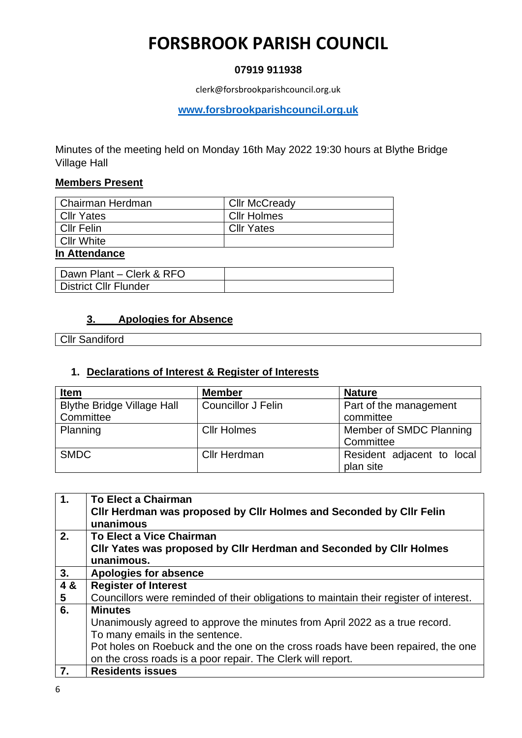# **FORSBROOK PARISH COUNCIL**

### **07919 911938**

clerk@forsbrookparishcouncil.org.uk

**[www.forsbrookparishcouncil.org.uk](http://www.forsbrookparishcouncil.org.uk/)** 

Minutes of the meeting held on Monday 16th May 2022 19:30 hours at Blythe Bridge Village Hall

#### **Members Present**

| l Chairman Herdman | <b>Cllr McCready</b> |
|--------------------|----------------------|
| <b>Cllr Yates</b>  | <b>Cllr Holmes</b>   |
| Cllr Felin         | <b>Cllr Yates</b>    |
| l Cllr White       |                      |
| In Attondonoo      |                      |

#### **In Attendance**

| Dawn Plant - Clerk & RFO     |  |
|------------------------------|--|
| <b>District Cllr Flunder</b> |  |

### **3. Apologies for Absence**

Cllr Sandiford

### **1. Declarations of Interest & Register of Interests**

| <b>Item</b>                       | <b>Member</b>             | <b>Nature</b>              |
|-----------------------------------|---------------------------|----------------------------|
| <b>Blythe Bridge Village Hall</b> | <b>Councillor J Felin</b> | Part of the management     |
| Committee                         |                           | committee                  |
| Planning                          | <b>Cllr Holmes</b>        | Member of SMDC Planning    |
|                                   |                           | Committee                  |
| <b>SMDC</b>                       | <b>Cllr Herdman</b>       | Resident adjacent to local |
|                                   |                           | plan site                  |

| $\overline{1}$ . | <b>To Elect a Chairman</b>                                                             |
|------------------|----------------------------------------------------------------------------------------|
|                  | Cllr Herdman was proposed by Cllr Holmes and Seconded by Cllr Felin                    |
|                  | unanimous                                                                              |
| 2.               | <b>To Elect a Vice Chairman</b>                                                        |
|                  | Cllr Yates was proposed by Cllr Herdman and Seconded by Cllr Holmes                    |
|                  | unanimous.                                                                             |
| 3.               | <b>Apologies for absence</b>                                                           |
| 4 &              | <b>Register of Interest</b>                                                            |
| $5\overline{5}$  | Councillors were reminded of their obligations to maintain their register of interest. |
| 6.               | <b>Minutes</b>                                                                         |
|                  | Unanimously agreed to approve the minutes from April 2022 as a true record.            |
|                  | To many emails in the sentence.                                                        |
|                  | Pot holes on Roebuck and the one on the cross roads have been repaired, the one        |
|                  | on the cross roads is a poor repair. The Clerk will report.                            |
|                  | <b>Residents issues</b>                                                                |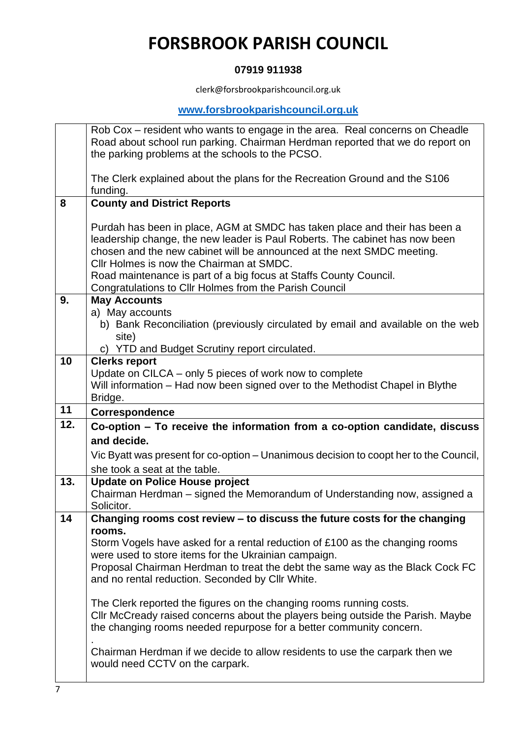# **FORSBROOK PARISH COUNCIL**

### **07919 911938**

clerk@forsbrookparishcouncil.org.uk

### **[www.forsbrookparishcouncil.org.uk](http://www.forsbrookparishcouncil.org.uk/)**

|     | Rob Cox – resident who wants to engage in the area. Real concerns on Cheadle                                   |
|-----|----------------------------------------------------------------------------------------------------------------|
|     | Road about school run parking. Chairman Herdman reported that we do report on                                  |
|     | the parking problems at the schools to the PCSO.                                                               |
|     |                                                                                                                |
|     | The Clerk explained about the plans for the Recreation Ground and the S106                                     |
| 8   | funding.<br><b>County and District Reports</b>                                                                 |
|     |                                                                                                                |
|     | Purdah has been in place, AGM at SMDC has taken place and their has been a                                     |
|     | leadership change, the new leader is Paul Roberts. The cabinet has now been                                    |
|     | chosen and the new cabinet will be announced at the next SMDC meeting.                                         |
|     | Cllr Holmes is now the Chairman at SMDC.                                                                       |
|     | Road maintenance is part of a big focus at Staffs County Council.                                              |
|     | Congratulations to Cllr Holmes from the Parish Council                                                         |
| 9.  | <b>May Accounts</b>                                                                                            |
|     | a) May accounts                                                                                                |
|     | b) Bank Reconciliation (previously circulated by email and available on the web                                |
|     | site)<br>c) YTD and Budget Scrutiny report circulated.                                                         |
| 10  | <b>Clerks report</b>                                                                                           |
|     | Update on CILCA – only 5 pieces of work now to complete                                                        |
|     | Will information - Had now been signed over to the Methodist Chapel in Blythe                                  |
|     | Bridge.                                                                                                        |
|     |                                                                                                                |
| 11  | <b>Correspondence</b>                                                                                          |
| 12. | Co-option - To receive the information from a co-option candidate, discuss                                     |
|     | and decide.                                                                                                    |
|     | Vic Byatt was present for co-option - Unanimous decision to coopt her to the Council,                          |
|     | she took a seat at the table.                                                                                  |
| 13. | <b>Update on Police House project</b>                                                                          |
|     | Chairman Herdman – signed the Memorandum of Understanding now, assigned a                                      |
|     | Solicitor.                                                                                                     |
| 14  | Changing rooms cost review - to discuss the future costs for the changing                                      |
|     | rooms.                                                                                                         |
|     | Storm Vogels have asked for a rental reduction of £100 as the changing rooms                                   |
|     | were used to store items for the Ukrainian campaign.                                                           |
|     | Proposal Chairman Herdman to treat the debt the same way as the Black Cock FC                                  |
|     | and no rental reduction. Seconded by Cllr White.                                                               |
|     | The Clerk reported the figures on the changing rooms running costs.                                            |
|     | CIIr McCready raised concerns about the players being outside the Parish. Maybe                                |
|     | the changing rooms needed repurpose for a better community concern.                                            |
|     |                                                                                                                |
|     | Chairman Herdman if we decide to allow residents to use the carpark then we<br>would need CCTV on the carpark. |